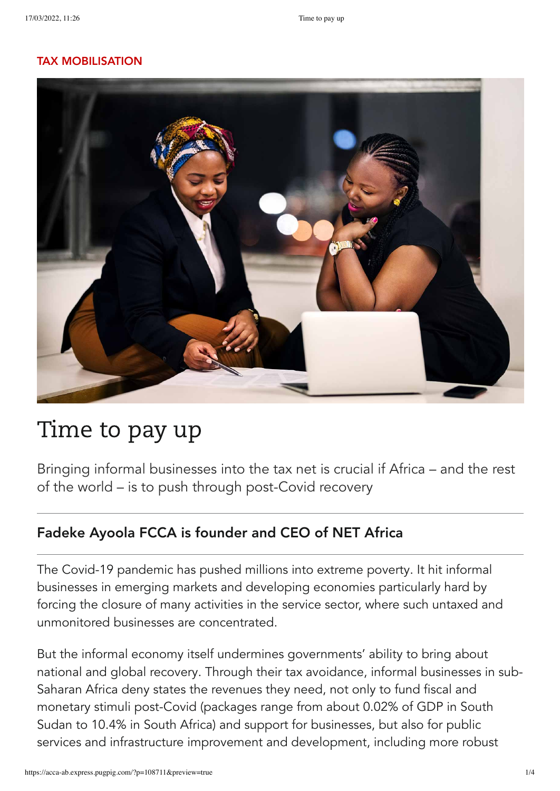#### TAX MOBILISATION



## Time to pay up

Bringing informal businesses into the tax net is crucial if Africa – and the rest of the world – is to push through post-Covid recovery

#### Fadeke Ayoola FCCA is founder and CEO of NET Africa

The Covid-19 pandemic has pushed millions into extreme poverty. It hit informal businesses in emerging markets and developing economies particularly hard by forcing the closure of many activities in the service sector, where such untaxed and unmonitored businesses are concentrated.

But the informal economy itself undermines governments' ability to bring about national and global recovery. Through their tax avoidance, informal businesses in sub-Saharan Africa deny states the revenues they need, not only to fund fiscal and monetary stimuli post-Covid (packages range from about 0.02% of GDP in South Sudan to 10.4% in South Africa) and support for businesses, but also for public services and infrastructure improvement and development, including more robust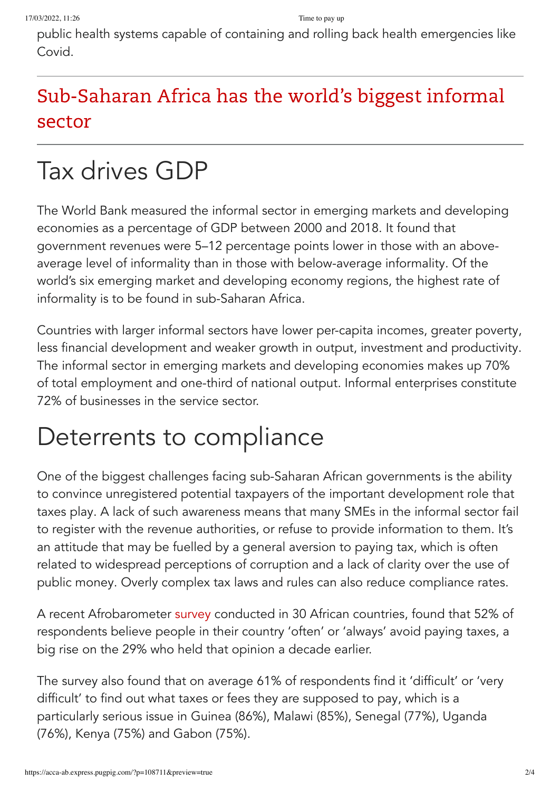public health systems capable of containing and rolling back health emergencies like Covid.

#### Sub-Saharan Africa has the world's biggest informal sector

# Tax drives GDP

The World Bank measured the informal sector in emerging markets and developing economies as a percentage of GDP between 2000 and 2018. It found that government revenues were 5–12 percentage points lower in those with an aboveaverage level of informality than in those with below-average informality. Of the world's six emerging market and developing economy regions, the highest rate of informality is to be found in sub-Saharan Africa.

Countries with larger informal sectors have lower per-capita incomes, greater poverty, less financial development and weaker growth in output, investment and productivity. The informal sector in emerging markets and developing economies makes up 70% of total employment and one-third of national output. Informal enterprises constitute 72% of businesses in the service sector.

# Deterrents to compliance

One of the biggest challenges facing sub-Saharan African governments is the ability to convince unregistered potential taxpayers of the important development role that taxes play. A lack of such awareness means that many SMEs in the informal sector fail to register with the revenue authorities, or refuse to provide information to them. It's an attitude that may be fuelled by a general aversion to paying tax, which is often related to widespread perceptions of corruption and a lack of clarity over the use of public money. Overly complex tax laws and rules can also reduce compliance rates.

A recent Afrobarometer [survey](https://afrobarometer.org/sites/default/files/publications/Policy%20papers/pp78-pap6-less_legitimacy_more_avoidance_mark_africans_views_on_taxation-afrobarometer_policy_paper-28jan22.pdf) conducted in 30 African countries, found that 52% of respondents believe people in their country 'often' or 'always' avoid paying taxes, a big rise on the 29% who held that opinion a decade earlier.

The survey also found that on average 61% of respondents find it 'difficult' or 'very difficult' to find out what taxes or fees they are supposed to pay, which is a particularly serious issue in Guinea (86%), Malawi (85%), Senegal (77%), Uganda (76%), Kenya (75%) and Gabon (75%).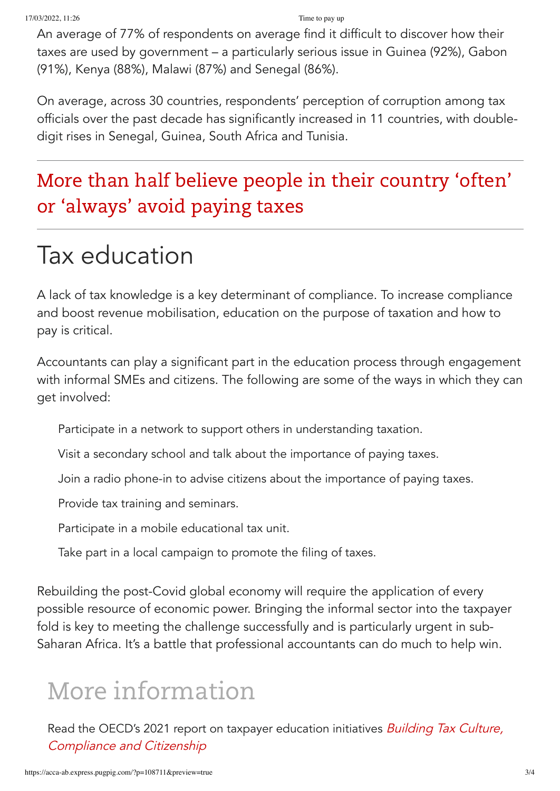17/03/2022, 11:26 Time to pay up

An average of 77% of respondents on average find it difficult to discover how their taxes are used by government – a particularly serious issue in Guinea (92%), Gabon (91%), Kenya (88%), Malawi (87%) and Senegal (86%).

On average, across 30 countries, respondents' perception of corruption among tax officials over the past decade has significantly increased in 11 countries, with doubledigit rises in Senegal, Guinea, South Africa and Tunisia.

### More than half believe people in their country 'often' or 'always' avoid paying taxes

# Tax education

A lack of tax knowledge is a key determinant of compliance. To increase compliance and boost revenue mobilisation, education on the purpose of taxation and how to pay is critical.

Accountants can play a significant part in the education process through engagement with informal SMEs and citizens. The following are some of the ways in which they can get involved:

Participate in a network to support others in understanding taxation.

Visit a secondary school and talk about the importance of paying taxes.

Join a radio phone-in to advise citizens about the importance of paying taxes.

Provide tax training and seminars.

Participate in a mobile educational tax unit.

Take part in a local campaign to promote the filing of taxes.

Rebuilding the post-Covid global economy will require the application of every possible resource of economic power. Bringing the informal sector into the taxpayer fold is key to meeting the challenge successfully and is particularly urgent in sub-Saharan Africa. It's a battle that professional accountants can do much to help win.

# More information

Read the OECD's 2021 report on taxpayer education initiatives *Building Tax Culture*, [Compliance](https://www.oecd.org/tax/building-tax-culture-compliance-and-citizenship-second-edition-18585eb1-en.htm) and Citizenship